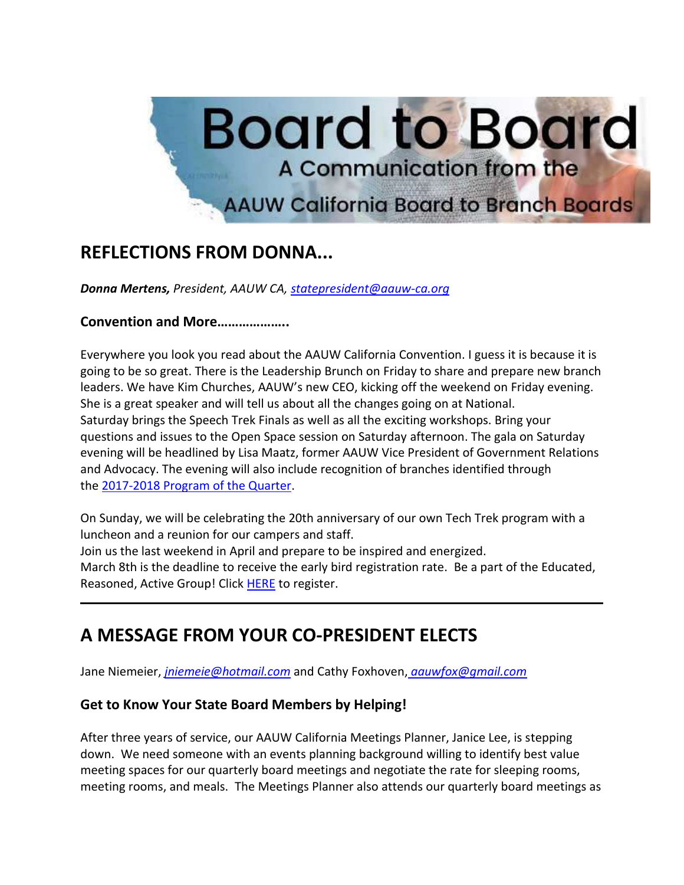

# **REFLECTIONS FROM DONNA...**

*Donna Mertens, President, AAUW CA, [statepresident@aauw-ca.org](mailto:statepresident@aauw-ca.org)*

#### **Convention and More………………..**

Everywhere you look you read about the AAUW California Convention. I guess it is because it is going to be so great. There is the Leadership Brunch on Friday to share and prepare new branch leaders. We have Kim Churches, AAUW's new CEO, kicking off the weekend on Friday evening. She is a great speaker and will tell us about all the changes going on at National. Saturday brings the Speech Trek Finals as well as all the exciting workshops. Bring your questions and issues to the Open Space session on Saturday afternoon. The gala on Saturday evening will be headlined by Lisa Maatz, former AAUW Vice President of Government Relations and Advocacy. The evening will also include recognition of branches identified through the [2017-2018 Program of the Quarter.](https://nam04.safelinks.protection.outlook.com/?url=https%3A%2F%2Fbor.aauw-ca.org%2Fsendy%2Fl%2Fv0NGBhI6dqEFRJAJ8q3qaA%2FRdOpafQiSsZ3MvHcsMESEA%2FnQNp4w7892UdbQbWAzVd763Auw&data=02%7C01%7C%7C2f0be0bab2444a39709e08d5837c20cf%7C84df9e7fe9f640afb435aaaaaaaaaaaa%7C1%7C0%7C636559491484255812&sdata=vn5qSxcmniufnMB%2FkFvP8UYQxU7s6RAMns%2BtGYp7gPc%3D&reserved=0)

On Sunday, we will be celebrating the 20th anniversary of our own Tech Trek program with a luncheon and a reunion for our campers and staff. Join us the last weekend in April and prepare to be inspired and energized. March 8th is the deadline to receive the early bird registration rate. Be a part of the Educated, Reasoned, Active Group! Click [HERE](https://nam04.safelinks.protection.outlook.com/?url=https%3A%2F%2Fbor.aauw-ca.org%2Fsendy%2Fl%2Fv0NGBhI6dqEFRJAJ8q3qaA%2FZF2ZsOLJtwELDXNIyIh18w%2FnQNp4w7892UdbQbWAzVd763Auw&data=02%7C01%7C%7C2f0be0bab2444a39709e08d5837c20cf%7C84df9e7fe9f640afb435aaaaaaaaaaaa%7C1%7C0%7C636559491484255812&sdata=8ifNAsdshXDjPl1aJLiC1RK%2Bm%2FbxuCb%2BjxbGKxCleCU%3D&reserved=0) to register.

## **A MESSAGE FROM YOUR CO-PRESIDENT ELECTS**

Jane Niemeier, *[jniemeie@hotmail.com](mailto:jniemeie@hotmail.com)* and Cathy Foxhoven, *[aauwfox@gmail.com](mailto:aauwfox@gmail.com)*

#### **Get to Know Your State Board Members by Helping!**

After three years of service, our AAUW California Meetings Planner, Janice Lee, is stepping down. We need someone with an events planning background willing to identify best value meeting spaces for our quarterly board meetings and negotiate the rate for sleeping rooms, meeting rooms, and meals. The Meetings Planner also attends our quarterly board meetings as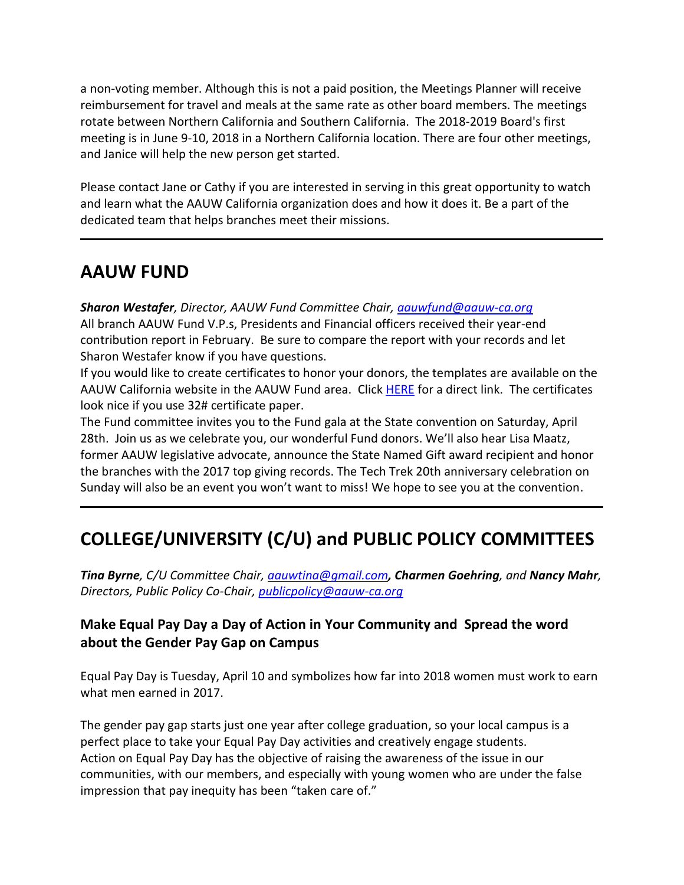a non-voting member. Although this is not a paid position, the Meetings Planner will receive reimbursement for travel and meals at the same rate as other board members. The meetings rotate between Northern California and Southern California. The 2018-2019 Board's first meeting is in June 9-10, 2018 in a Northern California location. There are four other meetings, and Janice will help the new person get started.

Please contact Jane or Cathy if you are interested in serving in this great opportunity to watch and learn what the AAUW California organization does and how it does it. Be a part of the dedicated team that helps branches meet their missions.

### **AAUW FUND**

*Sharon Westafer, Director, AAUW Fund Committee Chair, [aauwfund@aauw-ca.org](mailto:aauwfund@aauw-ca.org)* All branch AAUW Fund V.P.s, Presidents and Financial officers received their year-end contribution report in February. Be sure to compare the report with your records and let Sharon Westafer know if you have questions.

If you would like to create certificates to honor your donors, the templates are available on the AAUW California website in the AAUW Fund area. Click [HERE](https://nam04.safelinks.protection.outlook.com/?url=https%3A%2F%2Fbor.aauw-ca.org%2Fsendy%2Fl%2Fv0NGBhI6dqEFRJAJ8q3qaA%2FCGy7IU1BXMPOcrno6LVMFA%2FnQNp4w7892UdbQbWAzVd763Auw&data=02%7C01%7C%7C2f0be0bab2444a39709e08d5837c20cf%7C84df9e7fe9f640afb435aaaaaaaaaaaa%7C1%7C0%7C636559491484255812&sdata=X1neMaD7mlEeNUFTfuYstMfdEHPpfndDTLn98UHN5d0%3D&reserved=0) for a direct link. The certificates look nice if you use 32# certificate paper.

The Fund committee invites you to the Fund gala at the State convention on Saturday, April 28th. Join us as we celebrate you, our wonderful Fund donors. We'll also hear Lisa Maatz, former AAUW legislative advocate, announce the State Named Gift award recipient and honor the branches with the 2017 top giving records. The Tech Trek 20th anniversary celebration on Sunday will also be an event you won't want to miss! We hope to see you at the convention.

# **COLLEGE/UNIVERSITY (C/U) and PUBLIC POLICY COMMITTEES**

*Tina Byrne, C/U Committee Chair, [aauwtina@gmail.com](mailto:aauwtina@gmail.com), Charmen Goehring, and Nancy Mahr, Directors, Public Policy Co-Chair, [publicpolicy@aauw-ca.org](mailto:PublicPolicy@aauw-ca.org)*

### **Make Equal Pay Day a Day of Action in Your Community and Spread the word about the Gender Pay Gap on Campus**

Equal Pay Day is Tuesday, April 10 and symbolizes how far into 2018 women must work to earn what men earned in 2017.

The gender pay gap starts just one year after college graduation, so your local campus is a perfect place to take your Equal Pay Day activities and creatively engage students. Action on Equal Pay Day has the objective of raising the awareness of the issue in our communities, with our members, and especially with young women who are under the false impression that pay inequity has been "taken care of."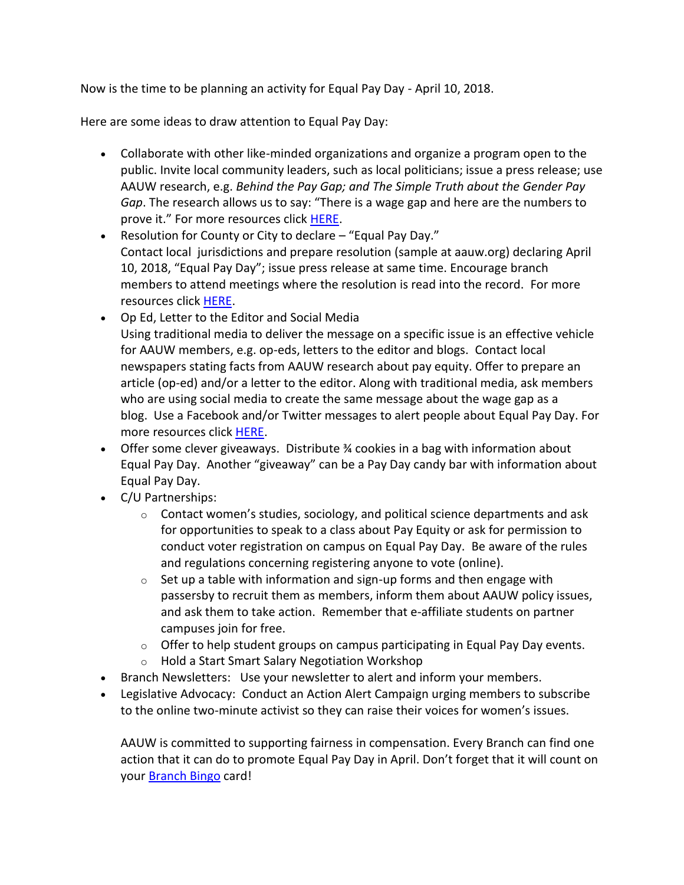Now is the time to be planning an activity for Equal Pay Day - April 10, 2018.

Here are some ideas to draw attention to Equal Pay Day:

- Collaborate with other like-minded organizations and organize a program open to the public. Invite local community leaders, such as local politicians; issue a press release; use AAUW research, e.g. *Behind the Pay Gap; and The Simple Truth about the Gender Pay Gap*. The research allows us to say: "There is a wage gap and here are the numbers to prove it." For more resources click [HERE.](https://nam04.safelinks.protection.outlook.com/?url=https%3A%2F%2Fbor.aauw-ca.org%2Fsendy%2Fl%2Fv0NGBhI6dqEFRJAJ8q3qaA%2F892duaYEfAosXmkRMNpkK7630w%2FnQNp4w7892UdbQbWAzVd763Auw&data=02%7C01%7C%7C2f0be0bab2444a39709e08d5837c20cf%7C84df9e7fe9f640afb435aaaaaaaaaaaa%7C1%7C0%7C636559491484255812&sdata=X3Uwu58qrSzpY4%2FG0vKnrAo6nBbus1mPZ5AdHVew8SI%3D&reserved=0)
- Resolution for County or City to declare "Equal Pay Day." Contact local jurisdictions and prepare resolution (sample at aauw.org) declaring April 10, 2018, "Equal Pay Day"; issue press release at same time. Encourage branch members to attend meetings where the resolution is read into the record. For more resources click [HERE.](https://nam04.safelinks.protection.outlook.com/?url=https%3A%2F%2Fbor.aauw-ca.org%2Fsendy%2Fl%2Fv0NGBhI6dqEFRJAJ8q3qaA%2Fb3hy763i6NRaJH1scupj892Aug%2FnQNp4w7892UdbQbWAzVd763Auw&data=02%7C01%7C%7C2f0be0bab2444a39709e08d5837c20cf%7C84df9e7fe9f640afb435aaaaaaaaaaaa%7C1%7C0%7C636559491484255812&sdata=EqVPkKS4l6ufd%2F%2Fwl7H8JiXhu8aeoxYBMKyphq%2FOPhI%3D&reserved=0)
- Op Ed, Letter to the Editor and Social Media Using traditional media to deliver the message on a specific issue is an effective vehicle for AAUW members, e.g. op-eds, letters to the editor and blogs. Contact local newspapers stating facts from AAUW research about pay equity. Offer to prepare an article (op-ed) and/or a letter to the editor. Along with traditional media, ask members who are using social media to create the same message about the wage gap as a blog. Use a Facebook and/or Twitter messages to alert people about Equal Pay Day. For more resources click [HERE.](https://nam04.safelinks.protection.outlook.com/?url=https%3A%2F%2Fbor.aauw-ca.org%2Fsendy%2Fl%2Fv0NGBhI6dqEFRJAJ8q3qaA%2Fb3hy763i6NRaJH1scupj892Aug%2FnQNp4w7892UdbQbWAzVd763Auw&data=02%7C01%7C%7C2f0be0bab2444a39709e08d5837c20cf%7C84df9e7fe9f640afb435aaaaaaaaaaaa%7C1%7C0%7C636559491484255812&sdata=EqVPkKS4l6ufd%2F%2Fwl7H8JiXhu8aeoxYBMKyphq%2FOPhI%3D&reserved=0)
- Offer some clever giveaways. Distribute ¾ cookies in a bag with information about Equal Pay Day. Another "giveaway" can be a Pay Day candy bar with information about Equal Pay Day.
- C/U Partnerships:
	- $\circ$  Contact women's studies, sociology, and political science departments and ask for opportunities to speak to a class about Pay Equity or ask for permission to conduct voter registration on campus on Equal Pay Day. Be aware of the rules and regulations concerning registering anyone to vote (online).
	- $\circ$  Set up a table with information and sign-up forms and then engage with passersby to recruit them as members, inform them about AAUW policy issues, and ask them to take action. Remember that e-affiliate students on partner campuses join for free.
	- $\circ$  Offer to help student groups on campus participating in Equal Pay Day events.
	- o Hold a Start Smart Salary Negotiation Workshop
- Branch Newsletters: Use your newsletter to alert and inform your members.
- Legislative Advocacy: Conduct an Action Alert Campaign urging members to subscribe to the online two-minute activist so they can raise their voices for women's issues.

AAUW is committed to supporting fairness in compensation. Every Branch can find one action that it can do to promote Equal Pay Day in April. Don't forget that it will count on your [Branch Bingo](https://nam04.safelinks.protection.outlook.com/?url=https%3A%2F%2Fbor.aauw-ca.org%2Fsendy%2Fl%2Fv0NGBhI6dqEFRJAJ8q3qaA%2FuP1ZrVrG4QOa1StqKw5Fwg%2FnQNp4w7892UdbQbWAzVd763Auw&data=02%7C01%7C%7C2f0be0bab2444a39709e08d5837c20cf%7C84df9e7fe9f640afb435aaaaaaaaaaaa%7C1%7C0%7C636559491484255812&sdata=f%2FTgRYr%2B0xnGn1R91Vc0WxkCJITHEdtiGOeBWV2LwSo%3D&reserved=0) card!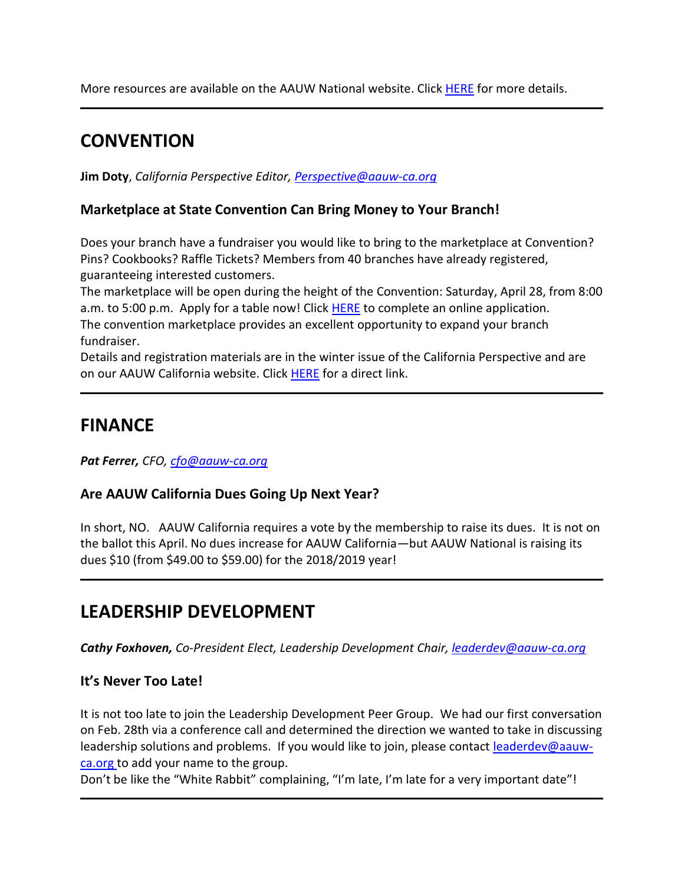More resources are available on the AAUW National website. Click [HERE](https://nam04.safelinks.protection.outlook.com/?url=https%3A%2F%2Fbor.aauw-ca.org%2Fsendy%2Fl%2Fv0NGBhI6dqEFRJAJ8q3qaA%2FSIdOgyniDo0nJvGYc892JDlQ%2FnQNp4w7892UdbQbWAzVd763Auw&data=02%7C01%7C%7C2f0be0bab2444a39709e08d5837c20cf%7C84df9e7fe9f640afb435aaaaaaaaaaaa%7C1%7C0%7C636559491484255812&sdata=lfQ1sHroup989gJlRfs8X9Y7uB96Qep4oob4mA8LXWw%3D&reserved=0) for more details.

## **CONVENTION**

**Jim Doty**, *California Perspective Editor, [Perspective@aauw-ca.org](mailto:Perspective@aauw-ca.org)*

### **Marketplace at State Convention Can Bring Money to Your Branch!**

Does your branch have a fundraiser you would like to bring to the marketplace at Convention? Pins? Cookbooks? Raffle Tickets? Members from 40 branches have already registered, guaranteeing interested customers.

The marketplace will be open during the height of the Convention: Saturday, April 28, from 8:00 a.m. to 5:00 p.m. Apply for a table now! Click [HERE](https://nam04.safelinks.protection.outlook.com/?url=https%3A%2F%2Fbor.aauw-ca.org%2Fsendy%2Fl%2Fv0NGBhI6dqEFRJAJ8q3qaA%2FRJ8Xgsw9DyCfsZOOC93cCg%2FnQNp4w7892UdbQbWAzVd763Auw&data=02%7C01%7C%7C2f0be0bab2444a39709e08d5837c20cf%7C84df9e7fe9f640afb435aaaaaaaaaaaa%7C1%7C0%7C636559491484255812&sdata=ERvhMGEUqiJEMDqWP8ot3%2FDVBVc4QxnC7GKcFU6hQWI%3D&reserved=0) to complete an online application. The convention marketplace provides an excellent opportunity to expand your branch fundraiser.

Details and registration materials are in the winter issue of the California Perspective and are on our AAUW California website. Click [HERE](https://nam04.safelinks.protection.outlook.com/?url=https%3A%2F%2Fbor.aauw-ca.org%2Fsendy%2Fl%2Fv0NGBhI6dqEFRJAJ8q3qaA%2FZF2ZsOLJtwELDXNIyIh18w%2FnQNp4w7892UdbQbWAzVd763Auw&data=02%7C01%7C%7C2f0be0bab2444a39709e08d5837c20cf%7C84df9e7fe9f640afb435aaaaaaaaaaaa%7C1%7C0%7C636559491484255812&sdata=8ifNAsdshXDjPl1aJLiC1RK%2Bm%2FbxuCb%2BjxbGKxCleCU%3D&reserved=0) for a direct link.

### **FINANCE**

*Pat Ferrer, CFO, [cfo@aauw-ca.org](mailto:cfo@aauw-ca.org)*

### **Are AAUW California Dues Going Up Next Year?**

In short, NO. AAUW California requires a vote by the membership to raise its dues. It is not on the ballot this April. No dues increase for AAUW California—but AAUW National is raising its dues \$10 (from \$49.00 to \$59.00) for the 2018/2019 year!

## **LEADERSHIP DEVELOPMENT**

*Cathy Foxhoven, Co-President Elect, Leadership Development Chair, [leaderdev@aauw-ca.org](mailto:leaderdev@aauw-ca.org)*

### **It's Never Too Late!**

It is not too late to join the Leadership Development Peer Group. We had our first conversation on Feb. 28th via a conference call and determined the direction we wanted to take in discussing leadership solutions and problems. If you would like to join, please contact [leaderdev@aauw](mailto:leaderdev@aauw-ca.org)[ca.org](mailto:leaderdev@aauw-ca.org) to add your name to the group.

Don't be like the "White Rabbit" complaining, "I'm late, I'm late for a very important date"!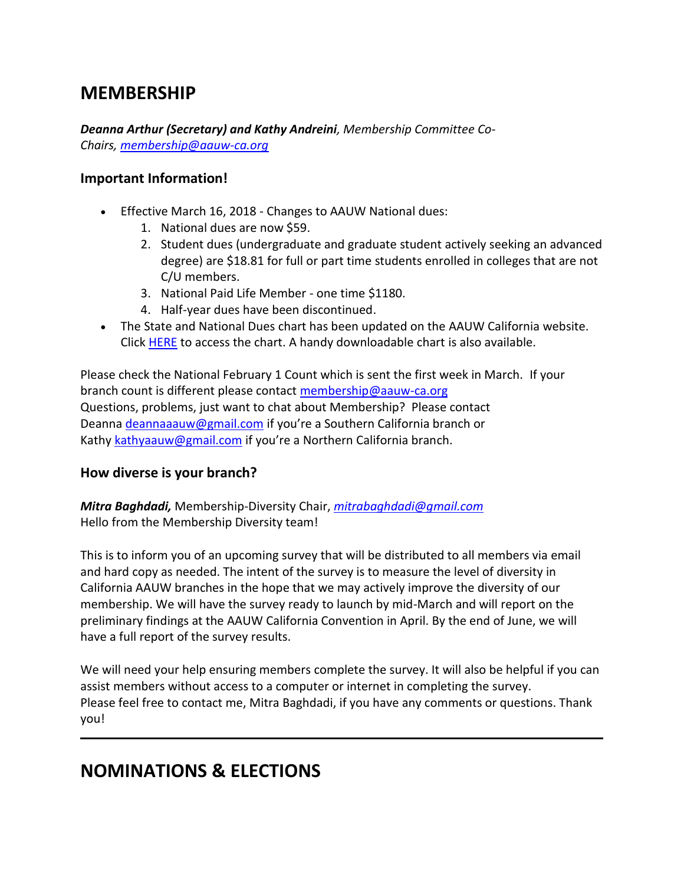### **MEMBERSHIP**

*Deanna Arthur (Secretary) and Kathy Andreini, Membership Committee Co-Chairs, [membership@aauw-ca.org](mailto:membership@aauw-ca.org)*

#### **Important Information!**

- Effective March 16, 2018 Changes to AAUW National dues:
	- 1. National dues are now \$59.
	- 2. Student dues (undergraduate and graduate student actively seeking an advanced degree) are \$18.81 for full or part time students enrolled in colleges that are not C/U members.
	- 3. National Paid Life Member one time \$1180.
	- 4. Half-year dues have been discontinued.
- The State and National Dues chart has been updated on the AAUW California website. Click **[HERE](https://nam04.safelinks.protection.outlook.com/?url=https%3A%2F%2Fbor.aauw-ca.org%2Fsendy%2Fl%2Fv0NGBhI6dqEFRJAJ8q3qaA%2FVNAncIVJp1OwXWggCgSRvg%2FnQNp4w7892UdbQbWAzVd763Auw&data=02%7C01%7C%7C2f0be0bab2444a39709e08d5837c20cf%7C84df9e7fe9f640afb435aaaaaaaaaaaa%7C1%7C0%7C636559491484255812&sdata=vvamonTHD9Zdak3pxDvrTVDALrtQRhxV5dqg1ufzbug%3D&reserved=0)** to access the chart. A handy downloadable chart is also available.

Please check the National February 1 Count which is sent the first week in March. If your branch count is different please contact [membership@aauw-ca.org](mailto:membership@aauw-ca.org) Questions, problems, just want to chat about Membership? Please contact Deanna [deannaaauw@gmail.com](mailto:deannaaauw@gmail.com) if you're a Southern California branch or Kathy [kathyaauw@gmail.com](mailto:kathyaauw@gmail.com) if you're a Northern California branch.

#### **How diverse is your branch?**

*Mitra Baghdadi,* Membership-Diversity Chair, *[mitrabaghdadi@gmail.com](mailto:mitrabaghdadi@gmail.com)* Hello from the Membership Diversity team!

This is to inform you of an upcoming survey that will be distributed to all members via email and hard copy as needed. The intent of the survey is to measure the level of diversity in California AAUW branches in the hope that we may actively improve the diversity of our membership. We will have the survey ready to launch by mid-March and will report on the preliminary findings at the AAUW California Convention in April. By the end of June, we will have a full report of the survey results.

We will need your help ensuring members complete the survey. It will also be helpful if you can assist members without access to a computer or internet in completing the survey. Please feel free to contact me, Mitra Baghdadi, if you have any comments or questions. Thank you!

## **NOMINATIONS & ELECTIONS**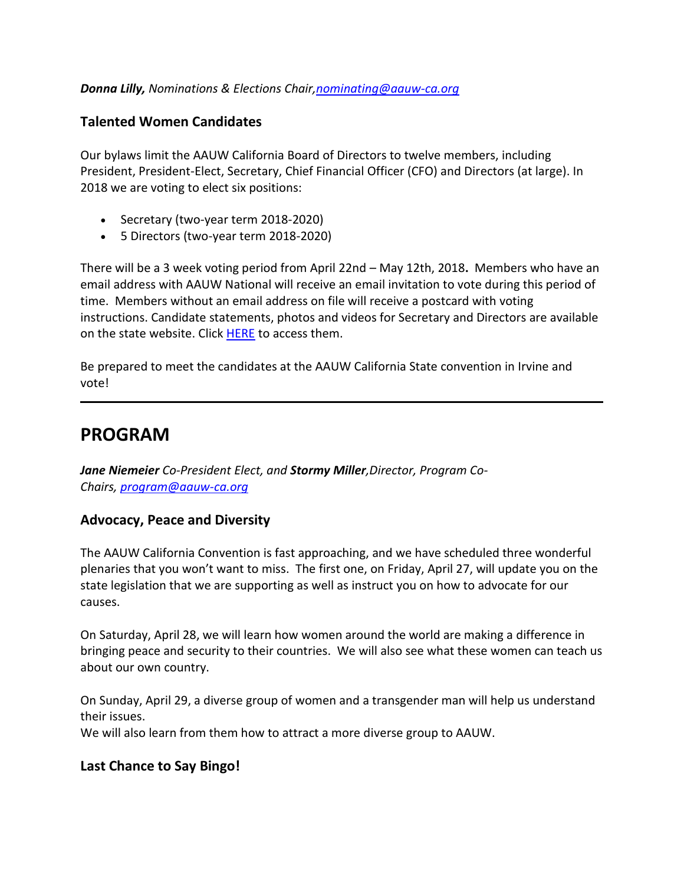#### *Donna Lilly, Nominations & Elections Chair[,nominating@aauw-ca.org](mailto:nominating@aauw-ca.org)*

#### **Talented Women Candidates**

Our bylaws limit the AAUW California Board of Directors to twelve members, including President, President-Elect, Secretary, Chief Financial Officer (CFO) and Directors (at large). In 2018 we are voting to elect six positions:

- Secretary (two-year term 2018-2020)
- 5 Directors (two-year term 2018-2020)

There will be a 3 week voting period from April 22nd – May 12th, 2018**.** Members who have an email address with AAUW National will receive an email invitation to vote during this period of time. Members without an email address on file will receive a postcard with voting instructions. Candidate statements, photos and videos for Secretary and Directors are available on the state website. Click [HERE](https://nam04.safelinks.protection.outlook.com/?url=https%3A%2F%2Fbor.aauw-ca.org%2Fsendy%2Fl%2Fv0NGBhI6dqEFRJAJ8q3qaA%2F763YULMuw0unh892gCn0YtVzwQ%2FnQNp4w7892UdbQbWAzVd763Auw&data=02%7C01%7C%7C2f0be0bab2444a39709e08d5837c20cf%7C84df9e7fe9f640afb435aaaaaaaaaaaa%7C1%7C0%7C636559491484255812&sdata=igbyeuQM4AF3ueKNvS5HcDbfNsNW3rPlErg7vp9ndoo%3D&reserved=0) to access them.

Be prepared to meet the candidates at the AAUW California State convention in Irvine and vote!

### **PROGRAM**

*Jane Niemeier Co-President Elect, and Stormy Miller,Director, Program Co-Chairs, [program@aauw-ca.org](mailto:program@aauw-ca.org)*

#### **Advocacy, Peace and Diversity**

The AAUW California Convention is fast approaching, and we have scheduled three wonderful plenaries that you won't want to miss. The first one, on Friday, April 27, will update you on the state legislation that we are supporting as well as instruct you on how to advocate for our causes.

On Saturday, April 28, we will learn how women around the world are making a difference in bringing peace and security to their countries. We will also see what these women can teach us about our own country.

On Sunday, April 29, a diverse group of women and a transgender man will help us understand their issues.

We will also learn from them how to attract a more diverse group to AAUW.

#### **Last Chance to Say Bingo!**